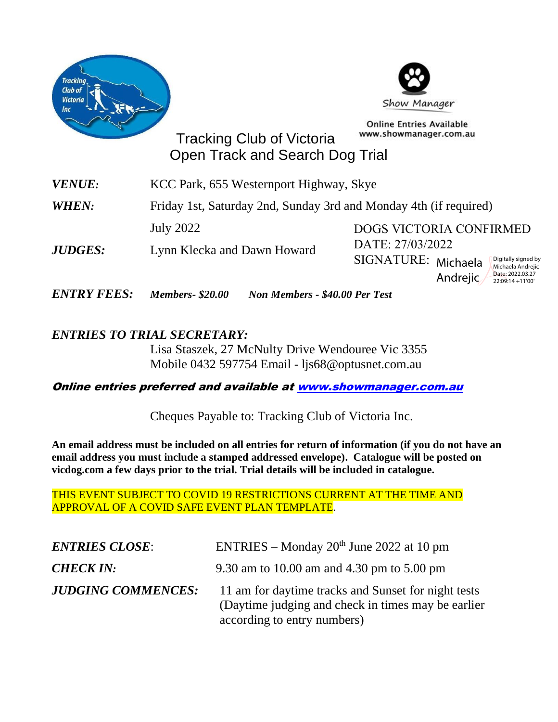



**Online Entries Available** www.showmanager.com.au

22:09:14 +11'00'

Tracking Club of Victoria Open Track and Search Dog Trial

| VENUE:         | KCC Park, 655 Westernport Highway, Skye                           |                                                                 |  |
|----------------|-------------------------------------------------------------------|-----------------------------------------------------------------|--|
| WHEN:          | Friday 1st, Saturday 2nd, Sunday 3rd and Monday 4th (if required) |                                                                 |  |
| <i>JUDGES:</i> | July 2022                                                         | <b>DOGS VICTORIA CONFIRMED</b>                                  |  |
|                | Lynn Klecka and Dawn Howard                                       | DATE: 27/03/2022                                                |  |
|                |                                                                   | SIGNATURE: Michaela<br>Digitally signed by<br>Michaela Andrejic |  |
|                |                                                                   | Date: 2022.03.27<br>Andrejic<br>22:09:14 +11'00'                |  |

*ENTRY FEES: Members- \$20.00 Non Members - \$40.00 Per Test*

## *ENTRIES TO TRIAL SECRETARY:*

Lisa Staszek, 27 McNulty Drive Wendouree Vic 3355 Mobile 0432 597754 Email - [ljs68@optusnet.com.au](mailto:ljs68@optusnet.com.au)

## Online entries preferred and available a[t www.showmanager.com.au](http://www.showmanager.com.au/)

Cheques Payable to: Tracking Club of Victoria Inc.

**An email address must be included on all entries for return of information (if you do not have an email address you must include a stamped addressed envelope). Catalogue will be posted on vicdog.com a few days prior to the trial. Trial details will be included in catalogue.** 

THIS EVENT SUBJECT TO COVID 19 RESTRICTIONS CURRENT AT THE TIME AND APPROVAL OF A COVID SAFE EVENT PLAN TEMPLATE.

| <b>ENTRIES CLOSE:</b>     | ENTRIES – Monday $20th$ June 2022 at 10 pm                                                                                                |
|---------------------------|-------------------------------------------------------------------------------------------------------------------------------------------|
| <b>CHECK IN:</b>          | 9.30 am to 10.00 am and 4.30 pm to 5.00 pm                                                                                                |
| <b>JUDGING COMMENCES:</b> | 11 am for daytime tracks and Sunset for night tests<br>(Daytime judging and check in times may be earlier)<br>according to entry numbers) |